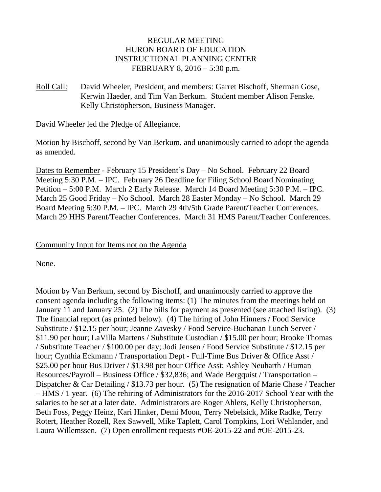# REGULAR MEETING HURON BOARD OF EDUCATION INSTRUCTIONAL PLANNING CENTER FEBRUARY 8, 2016 – 5:30 p.m.

Roll Call: David Wheeler, President, and members: Garret Bischoff, Sherman Gose, Kerwin Haeder, and Tim Van Berkum. Student member Alison Fenske. Kelly Christopherson, Business Manager.

David Wheeler led the Pledge of Allegiance.

Motion by Bischoff, second by Van Berkum, and unanimously carried to adopt the agenda as amended.

Dates to Remember - February 15 President's Day – No School. February 22 Board Meeting 5:30 P.M. – IPC. February 26 Deadline for Filing School Board Nominating Petition – 5:00 P.M. March 2 Early Release. March 14 Board Meeting 5:30 P.M. – IPC. March 25 Good Friday – No School. March 28 Easter Monday – No School. March 29 Board Meeting 5:30 P.M. – IPC. March 29 4th/5th Grade Parent/Teacher Conferences. March 29 HHS Parent/Teacher Conferences. March 31 HMS Parent/Teacher Conferences.

## Community Input for Items not on the Agenda

None.

Motion by Van Berkum, second by Bischoff, and unanimously carried to approve the consent agenda including the following items: (1) The minutes from the meetings held on January 11 and January 25. (2) The bills for payment as presented (see attached listing). (3) The financial report (as printed below). (4) The hiring of John Hinners / Food Service Substitute / \$12.15 per hour; Jeanne Zavesky / Food Service-Buchanan Lunch Server / \$11.90 per hour; LaVilla Martens / Substitute Custodian / \$15.00 per hour; Brooke Thomas / Substitute Teacher / \$100.00 per day; Jodi Jensen / Food Service Substitute / \$12.15 per hour; Cynthia Eckmann / Transportation Dept - Full-Time Bus Driver & Office Asst / \$25.00 per hour Bus Driver / \$13.98 per hour Office Asst; Ashley Neuharth / Human Resources/Payroll – Business Office / \$32,836; and Wade Bergquist / Transportation – Dispatcher & Car Detailing / \$13.73 per hour. (5) The resignation of Marie Chase / Teacher – HMS / 1 year. (6) The rehiring of Administrators for the 2016-2017 School Year with the salaries to be set at a later date. Administrators are Roger Ahlers, Kelly Christopherson, Beth Foss, Peggy Heinz, Kari Hinker, Demi Moon, Terry Nebelsick, Mike Radke, Terry Rotert, Heather Rozell, Rex Sawvell, Mike Taplett, Carol Tompkins, Lori Wehlander, and Laura Willemssen. (7) Open enrollment requests #OE-2015-22 and #OE-2015-23.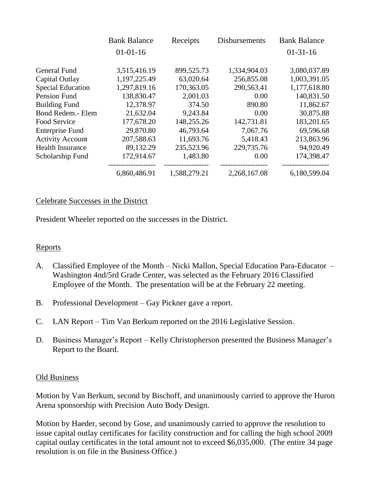|                          | <b>Bank Balance</b> | Receipts     | <b>Disbursements</b> | <b>Bank Balance</b> |
|--------------------------|---------------------|--------------|----------------------|---------------------|
|                          | $01 - 01 - 16$      |              |                      | $01-31-16$          |
| <b>General Fund</b>      | 3,515,416.19        | 899,525.73   | 1,334,904.03         | 3,080,037.89        |
| Capital Outlay           | 1,197,225.49        | 63,020.64    | 256,855.08           | 1,003,391.05        |
| <b>Special Education</b> | 1,297,819.16        | 170,363.05   | 290,563.41           | 1,177,618.80        |
| Pension Fund             | 138,830.47          | 2,001.03     | 0.00                 | 140,831.50          |
| <b>Building Fund</b>     | 12,378.97           | 374.50       | 890.80               | 11,862.67           |
| Bond Redem.- Elem        | 21,632.04           | 9,243.84     | 0.00                 | 30,875.88           |
| Food Service             | 177,678.20          | 148,255.26   | 142,731.81           | 183,201.65          |
| <b>Enterprise Fund</b>   | 29,870.80           | 46,793.64    | 7,067.76             | 69,596.68           |
| <b>Activity Account</b>  | 207,588.63          | 11,693.76    | 5,418.43             | 213,863.96          |
| <b>Health Insurance</b>  | 89,132.29           | 235,523.96   | 229,735.76           | 94,920.49           |
| Scholarship Fund         | 172,914.67          | 1,483.80     | 0.00                 | 174,398.47          |
|                          | 6,860,486.91        | 1,588,279.21 | 2,268,167.08         | 6,180,599.04        |

### Celebrate Successes in the District

President Wheeler reported on the successes in the District.

#### Reports

- A. Classified Employee of the Month Nicki Mallon, Special Education Para-Educator Washington 4nd/5rd Grade Center, was selected as the February 2016 Classified Employee of the Month. The presentation will be at the February 22 meeting.
- B. Professional Development Gay Pickner gave a report.
- C. LAN Report Tim Van Berkum reported on the 2016 Legislative Session.
- D. Business Manager's Report Kelly Christopherson presented the Business Manager's Report to the Board.

#### Old Business

Motion by Van Berkum, second by Bischoff, and unanimously carried to approve the Huron Arena sponsorship with Precision Auto Body Design.

Motion by Haeder, second by Gose, and unanimously carried to approve the resolution to issue capital outlay certificates for facility construction and for calling the high school 2009 capital outlay certificates in the total amount not to exceed \$6,035,000. (The entire 34 page resolution is on file in the Business Office.)